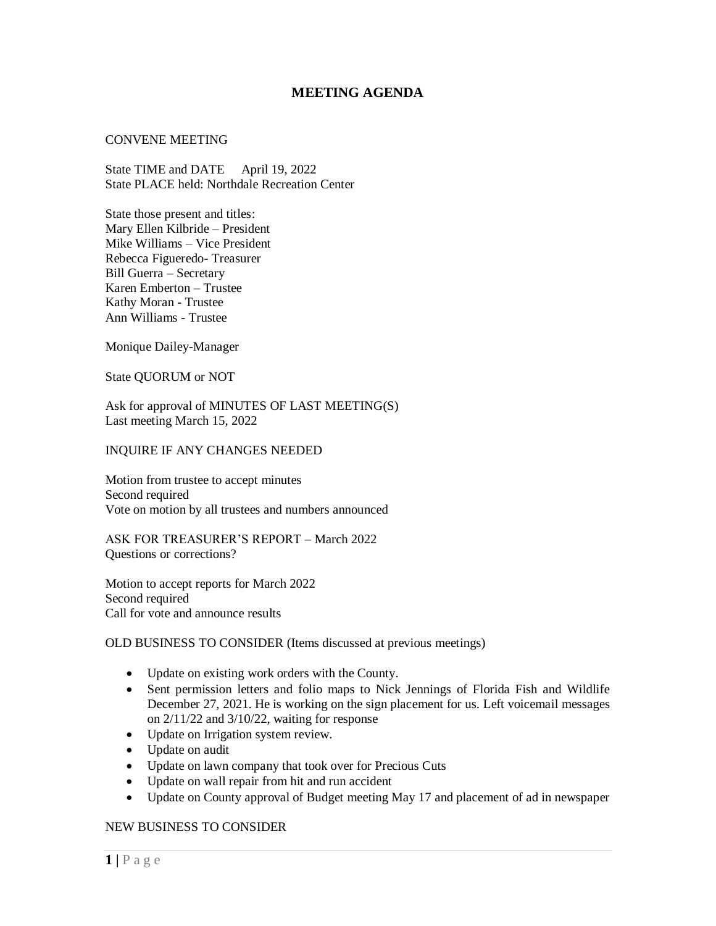# **MEETING AGENDA**

### CONVENE MEETING

State TIME and DATE April 19, 2022 State PLACE held: Northdale Recreation Center

State those present and titles: Mary Ellen Kilbride – President Mike Williams – Vice President Rebecca Figueredo- Treasurer Bill Guerra – Secretary Karen Emberton – Trustee Kathy Moran - Trustee Ann Williams - Trustee

Monique Dailey-Manager

State QUORUM or NOT

Ask for approval of MINUTES OF LAST MEETING(S) Last meeting March 15, 2022

### INQUIRE IF ANY CHANGES NEEDED

Motion from trustee to accept minutes Second required Vote on motion by all trustees and numbers announced

ASK FOR TREASURER'S REPORT – March 2022 Questions or corrections?

Motion to accept reports for March 2022 Second required Call for vote and announce results

# OLD BUSINESS TO CONSIDER (Items discussed at previous meetings)

- Update on existing work orders with the County.
- Sent permission letters and folio maps to Nick Jennings of Florida Fish and Wildlife December 27, 2021. He is working on the sign placement for us. Left voicemail messages on 2/11/22 and 3/10/22, waiting for response
- Update on Irrigation system review.
- Update on audit
- Update on lawn company that took over for Precious Cuts
- Update on wall repair from hit and run accident
- Update on County approval of Budget meeting May 17 and placement of ad in newspaper

# NEW BUSINESS TO CONSIDER